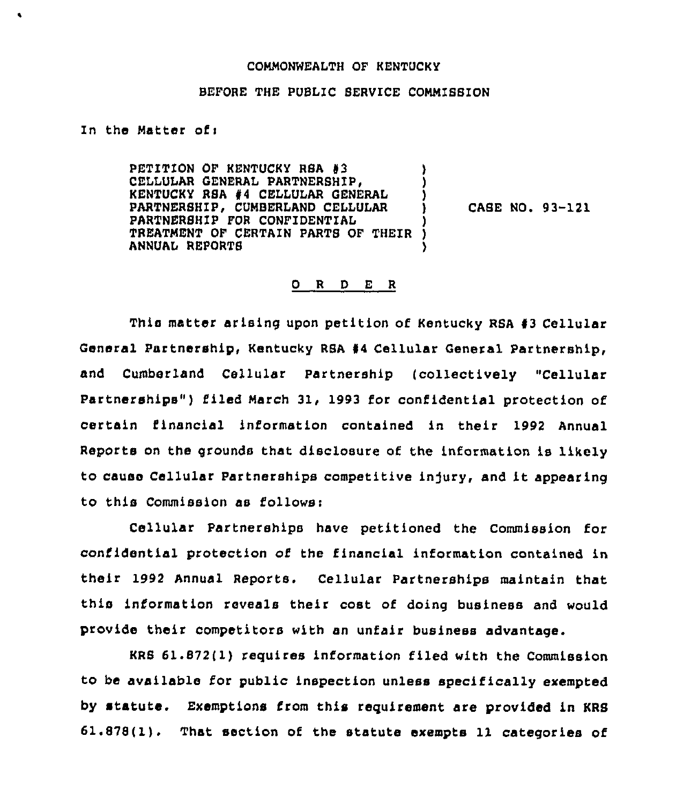## COMMONWEALTH OF KENTUCKY

## BEFORE THE PUBLIC SERVICE COMMISBION

In the Matter of:

PETITION OF KENTUCKY RSA #3 CELLULAR GENERAL PARTNERBHIP, (CELLULAR GENERAL ) KENTUCKY RSA #4 CELLULAR GENERAL (1)<br>PARTNERSHIP, CUMBERLAND CELLULAR (1) PARTNERSHIP, CUMBERLAND CELLULAR PARTNERBHIP FOR CONFIDENTIAL ) TREATMENT OF CERTAIN PARTB OF THEIR ) ANNVAI REPORTS

CABE NO. 93-121

## 0 R <sup>D</sup> E <sup>R</sup>

This matter arising upon petition of Kentucky RSA #3 Cellular General Partnership, Kentucky RSA #4 Cellular General Partnership, and Cumberland Cellular Partnership (collectively "Cellular Psrtnerships") filed March 31, 1993 for confidential protection of certain financial information contained in their 1992 Annual Reports on the grounds that disclosure of the information is likely to cause Cellular Partnerships competitive injury, and it appearing to this Commission as I'ollows:

Cellular Partnerehips have petitioned the Commission for confidential protection of the financial information contained in their 1992 Annual Reports. Cellular Partnerships maintain that this information reveals their cost of doing business and would provide their competitors with an unfair business advantage.

KRS 61.872(1) requires information filed with the Commission to be available for public inspection unless specifically exempted by statute. Exemptions from this requirement are provided in KRS 61.878(1). That section of the statute exempts 11 categories of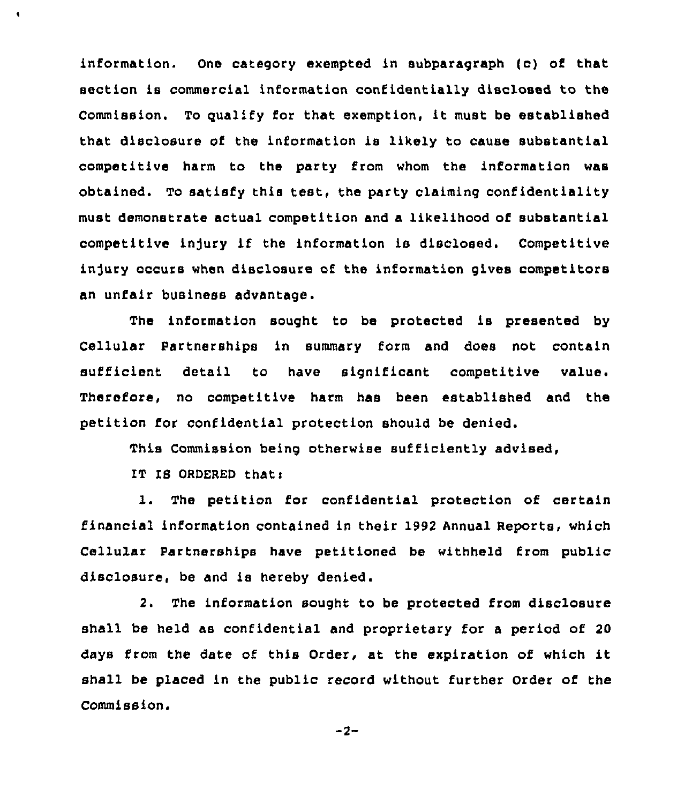information. One category exempted in subparagraph (c} of that section is commercial information confidentially disclosed to the Commission. To gualify for that exemption, it must be established that disclosure of the information is likely to cause substantial competitive harm to the party from whom the information was obtained. To satisfy this test, the party claiming confidentiality must demonstrate actual competition and a likelihood of substantial competitive injury if the information is disclosed. Competitive injury occurs when disclosure of the information gives competitors an unfair business advantage.

The information sought to be protected is presented by Cellular Partnerships in summary form and does not contain sufficient detail to have significant competitive value. Therefore, no competitive harm has been established and the petition for confidential protection should be denied.

This Commission being otherwise sufficiently advised,

IT IS ORDERED that:

 $\bullet$ 

1. The petition for confidential protection of certain financial information contained in their 1992 Annual Reports, which Cellular Partnerships have petitioned be withheld from public disclosure, be and is hereby denied.

2. The information sought to be protected from disclosure shall be held as confidential and proprietary for a period of 20 days from the date of this Order, at the expiration of which it shall be placed in the public record without further Order of the Commission.

 $-2-$